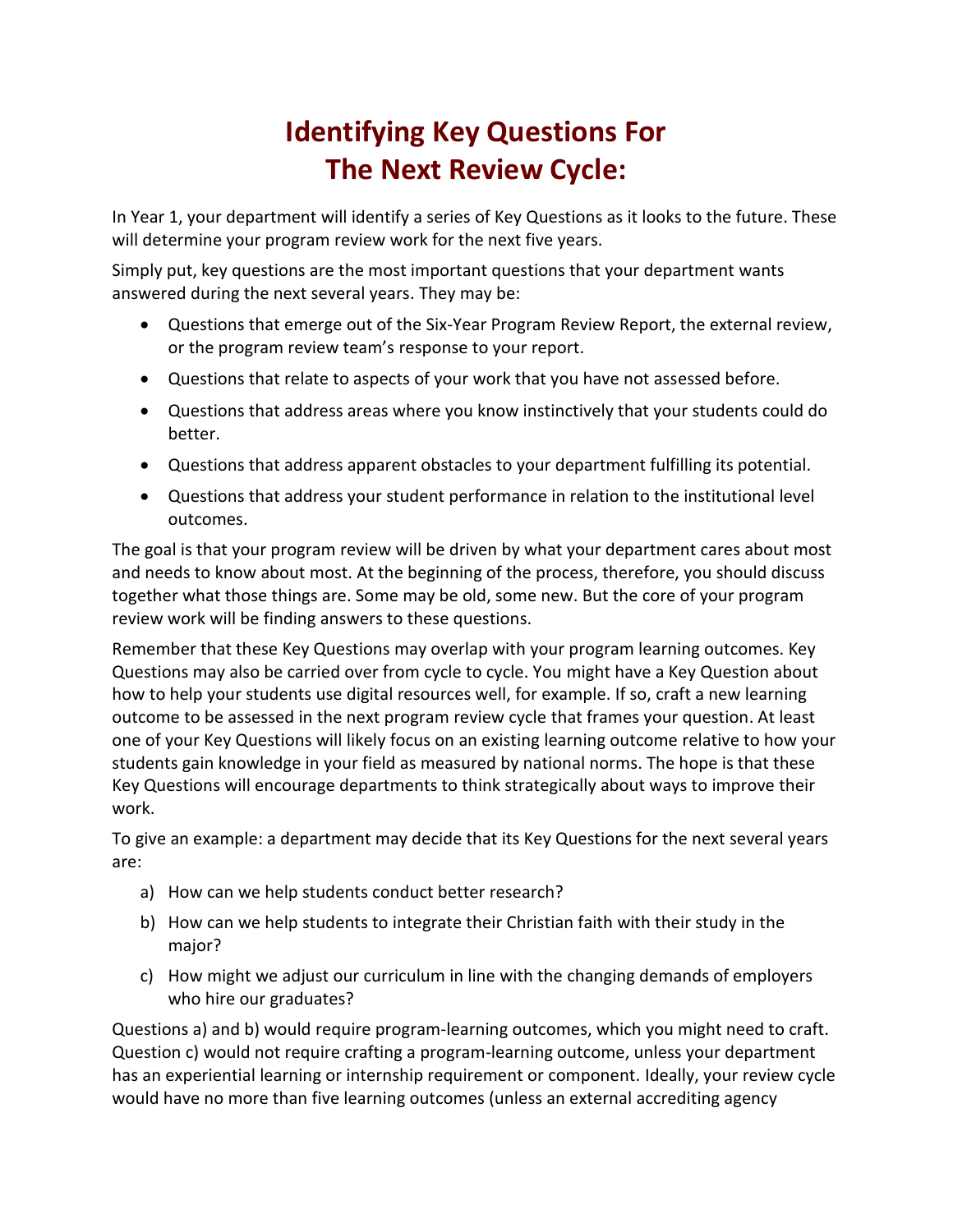## **Identifying Key Questions For The Next Review Cycle:**

In Year 1, your department will identify a series of Key Questions as it looks to the future. These will determine your program review work for the next five years.

Simply put, key questions are the most important questions that your department wants answered during the next several years. They may be:

- Questions that emerge out of the Six-Year Program Review Report, the external review, or the program review team's response to your report.
- Questions that relate to aspects of your work that you have not assessed before.
- Questions that address areas where you know instinctively that your students could do better.
- Questions that address apparent obstacles to your department fulfilling its potential.
- Questions that address your student performance in relation to the institutional level outcomes.

The goal is that your program review will be driven by what your department cares about most and needs to know about most. At the beginning of the process, therefore, you should discuss together what those things are. Some may be old, some new. But the core of your program review work will be finding answers to these questions.

Remember that these Key Questions may overlap with your program learning outcomes. Key Questions may also be carried over from cycle to cycle. You might have a Key Question about how to help your students use digital resources well, for example. If so, craft a new learning outcome to be assessed in the next program review cycle that frames your question. At least one of your Key Questions will likely focus on an existing learning outcome relative to how your students gain knowledge in your field as measured by national norms. The hope is that these Key Questions will encourage departments to think strategically about ways to improve their work.

To give an example: a department may decide that its Key Questions for the next several years are:

- a) How can we help students conduct better research?
- b) How can we help students to integrate their Christian faith with their study in the major?
- c) How might we adjust our curriculum in line with the changing demands of employers who hire our graduates?

Questions a) and b) would require program-learning outcomes, which you might need to craft. Question c) would not require crafting a program-learning outcome, unless your department has an experiential learning or internship requirement or component. Ideally, your review cycle would have no more than five learning outcomes (unless an external accrediting agency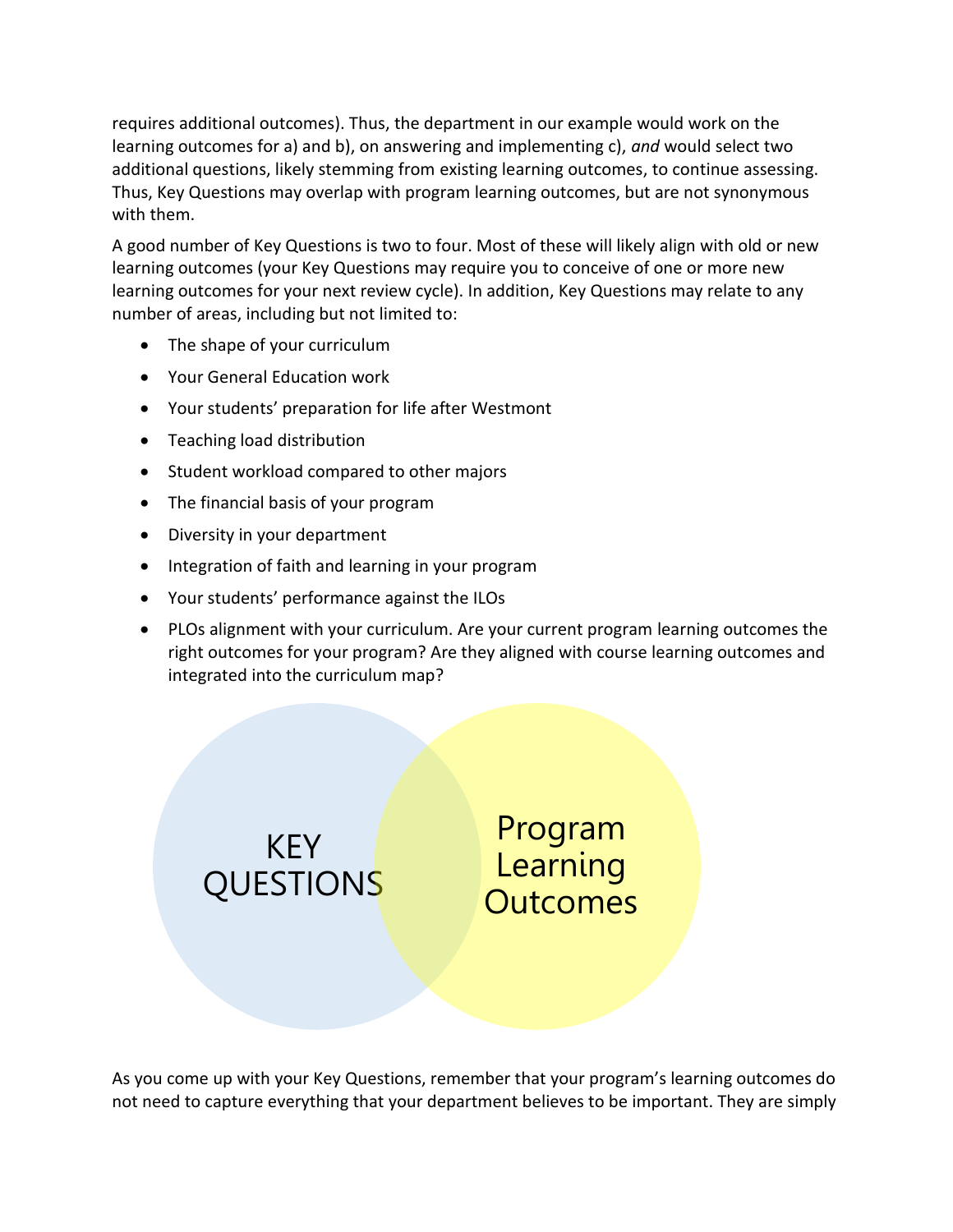requires additional outcomes). Thus, the department in our example would work on the learning outcomes for a) and b), on answering and implementing c), *and* would select two additional questions, likely stemming from existing learning outcomes, to continue assessing. Thus, Key Questions may overlap with program learning outcomes, but are not synonymous with them.

A good number of Key Questions is two to four. Most of these will likely align with old or new learning outcomes (your Key Questions may require you to conceive of one or more new learning outcomes for your next review cycle). In addition, Key Questions may relate to any number of areas, including but not limited to:

- The shape of your curriculum
- Your General Education work
- Your students' preparation for life after Westmont
- Teaching load distribution
- Student workload compared to other majors
- The financial basis of your program
- Diversity in your department
- Integration of faith and learning in your program
- Your students' performance against the ILOs
- PLOs alignment with your curriculum. Are your current program learning outcomes the right outcomes for your program? Are they aligned with course learning outcomes and integrated into the curriculum map?

KEY QUESTIONS

Program Learning **Outcomes** 

As you come up with your Key Questions, remember that your program's learning outcomes do not need to capture everything that your department believes to be important. They are simply